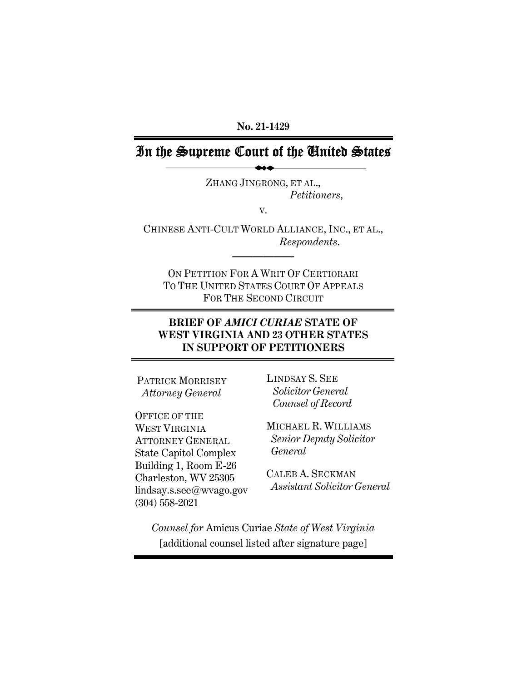**No. 21-1429** 

## In the Supreme Court of the United States

ZHANG JINGRONG, ET AL., *Petitioners*,

V.

CHINESE ANTI-CULT WORLD ALLIANCE, INC., ET AL., *Respondents*.

**——————** 

ON PETITION FOR A WRIT OF CERTIORARI TO THE UNITED STATES COURT OF APPEALS FOR THE SECOND CIRCUIT

### **BRIEF OF** *AMICI CURIAE* **STATE OF WEST VIRGINIA AND 23 OTHER STATES IN SUPPORT OF PETITIONERS**

PATRICK MORRISEY  *Attorney General* 

OFFICE OF THE WEST VIRGINIA ATTORNEY GENERAL State Capitol Complex Building 1, Room E-26 Charleston, WV 25305 lindsay.s.see@wvago.gov (304) 558-2021

LINDSAY S. SEE  *Solicitor General Counsel of Record*

MICHAEL R. WILLIAMS  *Senior Deputy Solicitor General* 

CALEB A. SECKMAN  *Assistant Solicitor General* 

*Counsel for* Amicus Curiae *State of West Virginia*  [additional counsel listed after signature page]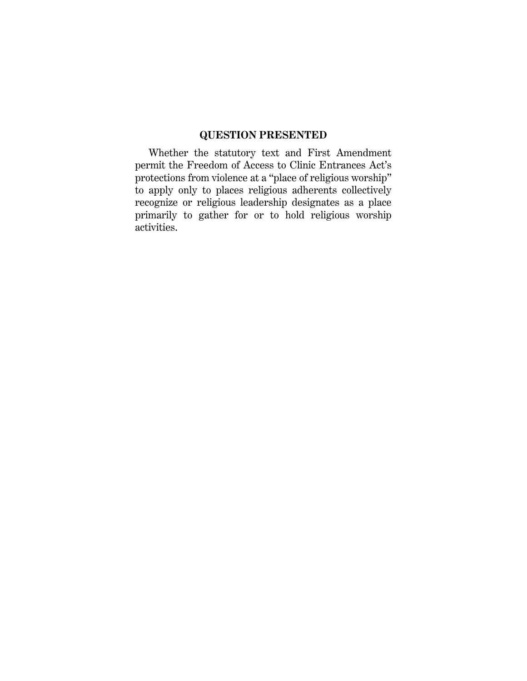### **QUESTION PRESENTED**

Whether the statutory text and First Amendment permit the Freedom of Access to Clinic Entrances Act's protections from violence at a "place of religious worship" to apply only to places religious adherents collectively recognize or religious leadership designates as a place primarily to gather for or to hold religious worship activities.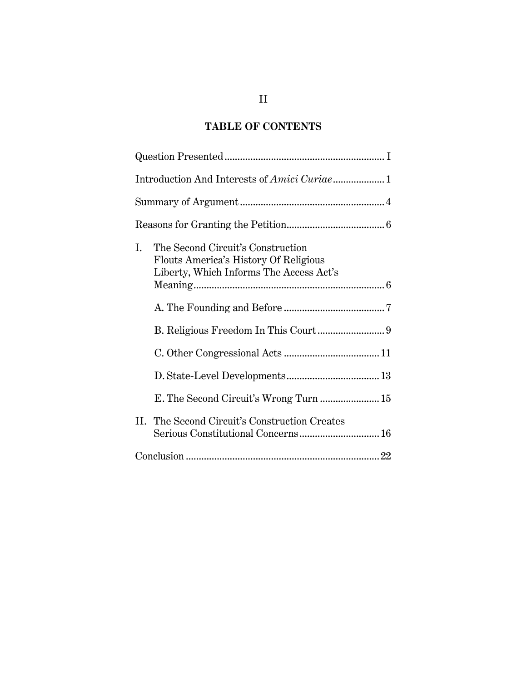# **TABLE OF CONTENTS**

| The Second Circuit's Construction<br>L.<br>Flouts America's History Of Religious<br>Liberty, Which Informs The Access Act's |
|-----------------------------------------------------------------------------------------------------------------------------|
|                                                                                                                             |
|                                                                                                                             |
|                                                                                                                             |
|                                                                                                                             |
|                                                                                                                             |
| II. The Second Circuit's Construction Creates                                                                               |
|                                                                                                                             |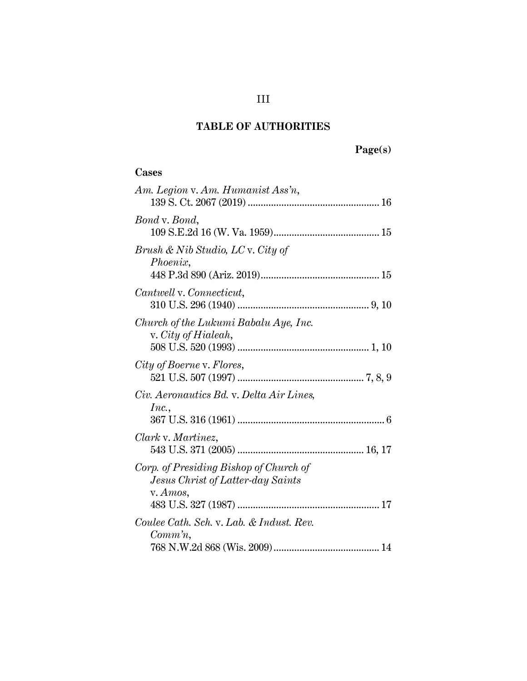# **Page(s)**

### **Cases**

| Am. Legion v. Am. Humanist Ass'n,                                                       |
|-----------------------------------------------------------------------------------------|
| Bond v. Bond,                                                                           |
| Brush & Nib Studio, LC v. City of<br>Phoenix,                                           |
| Cantwell v. Connecticut,                                                                |
| Church of the Lukumi Babalu Aye, Inc.<br>v. City of Hialeah,                            |
| City of Boerne v. Flores,                                                               |
| Civ. Aeronautics Bd. v. Delta Air Lines,<br>Inc.,                                       |
| Clark v. Martinez,                                                                      |
| Corp. of Presiding Bishop of Church of<br>Jesus Christ of Latter-day Saints<br>v. Amos, |
| Coulee Cath. Sch. v. Lab. & Indust. Rev.<br>$Commn$ ,                                   |
|                                                                                         |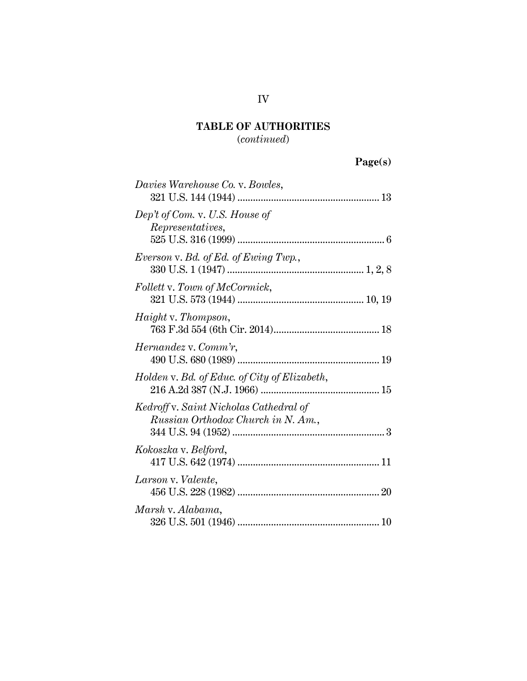### (*continued*)

# **Page(s)**

| Davies Warehouse Co. v. Bowles,                                              |
|------------------------------------------------------------------------------|
| Dep't of Com. v. U.S. House of<br>Representatives,                           |
| Everson v. Bd. of Ed. of Ewing Twp.,                                         |
| Follett v. Town of McCormick,                                                |
| <i>Haight</i> v. <i>Thompson</i> ,                                           |
| <i>Hernandez</i> v. Comm'r,                                                  |
| Holden v. Bd. of Educ. of City of Elizabeth,                                 |
| Kedroff v. Saint Nicholas Cathedral of<br>Russian Orthodox Church in N. Am., |
| Kokoszka v. Belford,                                                         |
| Larson v. Valente,                                                           |
| Marsh v. Alabama,                                                            |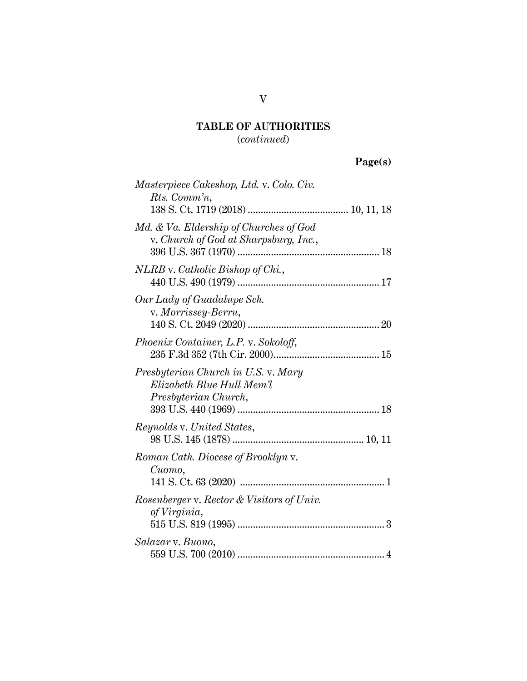(*continued*)

| $\mathbf{Page}(s)$ |
|--------------------|
|--------------------|

| Masterpiece Cakeshop, Ltd. v. Colo. Civ.<br>Rts. Comm'n,                                 |  |
|------------------------------------------------------------------------------------------|--|
| Md. & Va. Eldership of Churches of God<br>v. Church of God at Sharpsburg, Inc.,          |  |
| NLRB v. Catholic Bishop of Chi.,                                                         |  |
| Our Lady of Guadalupe Sch.<br>v. Morrissey-Berru,                                        |  |
| <i>Phoenix Container, L.P. v. Sokoloff,</i>                                              |  |
| Presbyterian Church in U.S. v. Mary<br>Elizabeth Blue Hull Mem'l<br>Presbyterian Church, |  |
| <i>Reynolds v. United States,</i>                                                        |  |
| Roman Cath. Diocese of Brooklyn v.<br>Cuomo,                                             |  |
| Rosenberger v. Rector & Visitors of Univ.<br>of Virginia,                                |  |
| Salazar v. Buono,                                                                        |  |

V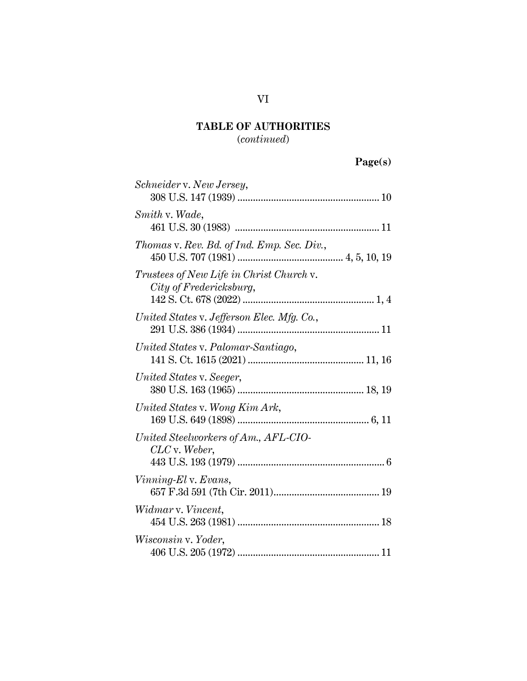(*continued*)

# **Page(s)**

| Schneider v. New Jersey,                                            |  |
|---------------------------------------------------------------------|--|
| Smith v. Wade,                                                      |  |
| Thomas v. Rev. Bd. of Ind. Emp. Sec. Div.,                          |  |
| Trustees of New Life in Christ Church v.<br>City of Fredericksburg, |  |
| United States v. Jefferson Elec. Mfg. Co.,                          |  |
| United States v. Palomar-Santiago,                                  |  |
| United States v. Seeger,                                            |  |
| United States v. Wong Kim Ark,                                      |  |
| United Steelworkers of Am., AFL-CIO-<br>$CLC$ v. Weber,             |  |
| Vinning-El v. Evans,                                                |  |
| Widmar v. Vincent,                                                  |  |
| Wisconsin v. Yoder,                                                 |  |
|                                                                     |  |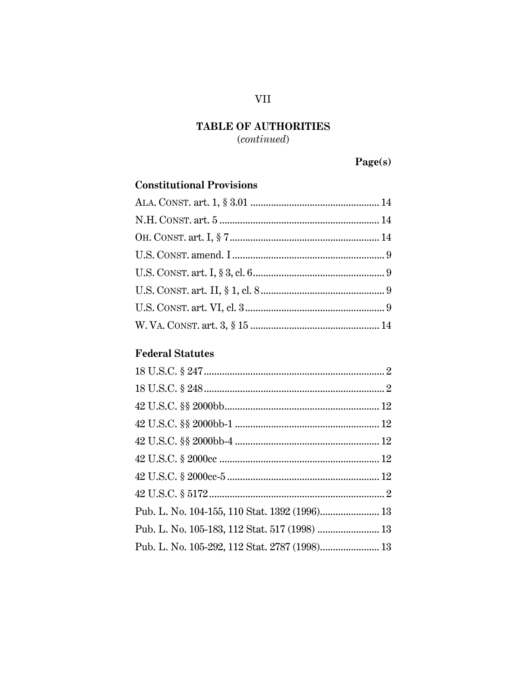$(continued)$ 

## $\mathbf{Page}(\mathbf{s})$

## **Constitutional Provisions**

## **Federal Statutes**

### **VII**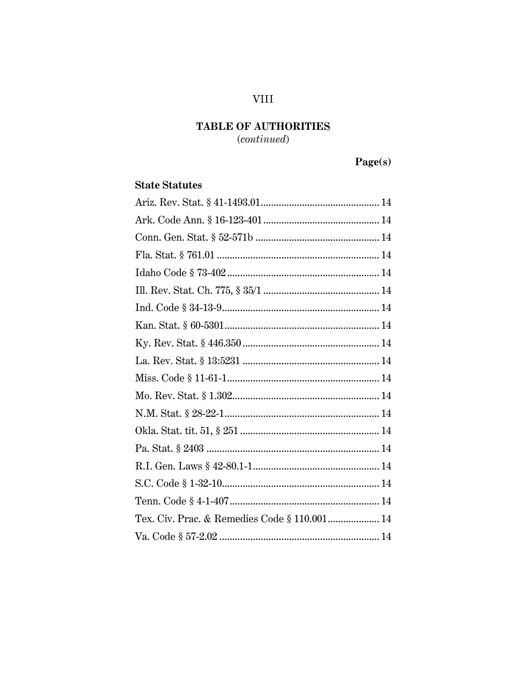## **VIII**

## TABLE OF AUTHORITIES

 $(continued)$ 

# Page(s)

### **State Statutes**

| Tex. Civ. Prac. & Remedies Code § 110.001 14 |
|----------------------------------------------|
|                                              |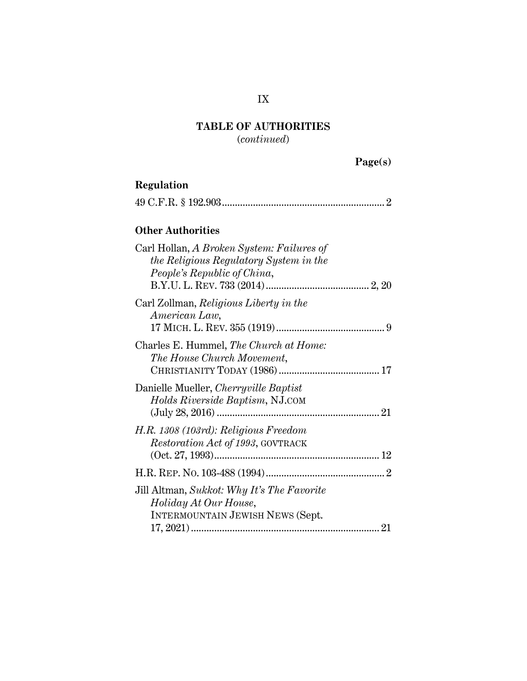(*continued*)

| $\text{age}(s)$ |
|-----------------|
|-----------------|

| Regulation                                                                                                         |
|--------------------------------------------------------------------------------------------------------------------|
|                                                                                                                    |
| <b>Other Authorities</b>                                                                                           |
| Carl Hollan, A Broken System: Failures of<br>the Religious Regulatory System in the<br>People's Republic of China, |
| Carl Zollman, Religious Liberty in the<br>American Law,                                                            |
| Charles E. Hummel, The Church at Home:<br>The House Church Movement,                                               |
| Danielle Mueller, Cherryville Baptist<br>Holds Riverside Baptism, NJ.COM                                           |
| H.R. 1308 (103rd): Religious Freedom<br><i>Restoration Act of 1993, GOVTRACK</i>                                   |
|                                                                                                                    |
| Jill Altman, Sukkot: Why It's The Favorite<br>Holiday At Our House,<br>INTERMOUNTAIN JEWISH NEWS (Sept.            |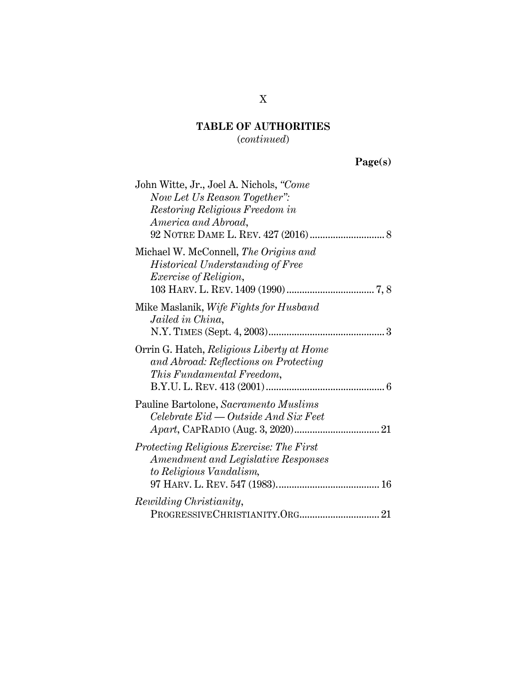### (*continued*)

# **Page(s)**

| John Witte, Jr., Joel A. Nichols, "Come<br>Now Let Us Reason Together":<br>Restoring Religious Freedom in<br>America and Abroad, |
|----------------------------------------------------------------------------------------------------------------------------------|
|                                                                                                                                  |
| Michael W. McConnell, The Origins and<br>Historical Understanding of Free<br><i>Exercise of Religion,</i>                        |
| Mike Maslanik, Wife Fights for Husband<br>Jailed in China,                                                                       |
| Orrin G. Hatch, Religious Liberty at Home<br>and Abroad: Reflections on Protecting<br><i>This Fundamental Freedom,</i>           |
| Pauline Bartolone, Sacramento Muslims<br>Celebrate Eid — Outside And Six Feet                                                    |
| Protecting Religious Exercise: The First<br>Amendment and Legislative Responses<br>to Religious Vandalism,                       |
| Rewilding Christianity,                                                                                                          |

### X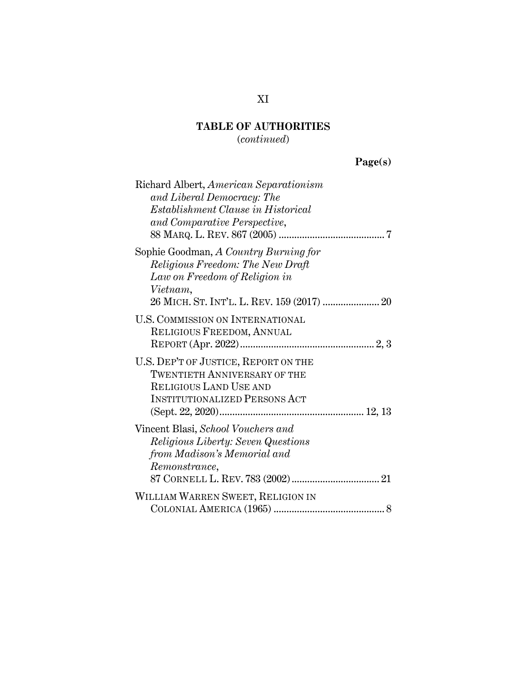(*continued*)

# **Page(s)**

| Richard Albert, American Separationism<br>and Liberal Democracy: The<br>Establishment Clause in Historical<br>and Comparative Perspective,           |
|------------------------------------------------------------------------------------------------------------------------------------------------------|
| Sophie Goodman, A Country Burning for<br>Religious Freedom: The New Draft<br>Law on Freedom of Religion in<br>Vietnam,                               |
| <b>U.S. COMMISSION ON INTERNATIONAL</b><br>RELIGIOUS FREEDOM, ANNUAL                                                                                 |
| U.S. DEP'T OF JUSTICE, REPORT ON THE<br><b>TWENTIETH ANNIVERSARY OF THE</b><br><b>RELIGIOUS LAND USE AND</b><br><b>INSTITUTIONALIZED PERSONS ACT</b> |
| Vincent Blasi, School Vouchers and<br><i>Religious Liberty: Seven Questions</i><br>from Madison's Memorial and<br>Remonstrance,                      |
| WILLIAM WARREN SWEET, RELIGION IN                                                                                                                    |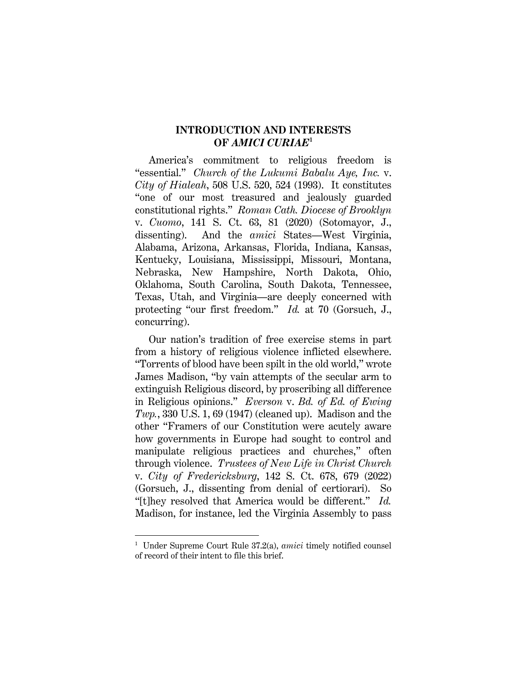### **INTRODUCTION AND INTERESTS OF** *AMICI CURIAE***<sup>1</sup>**

America's commitment to religious freedom is "essential." *Church of the Lukumi Babalu Aye, Inc.* v. *City of Hialeah*, 508 U.S. 520, 524 (1993). It constitutes "one of our most treasured and jealously guarded constitutional rights." *Roman Cath. Diocese of Brooklyn* v. *Cuomo*, 141 S. Ct. 63, 81 (2020) (Sotomayor, J., dissenting). And the *amici* States—West Virginia, Alabama, Arizona, Arkansas, Florida, Indiana, Kansas, Kentucky, Louisiana, Mississippi, Missouri, Montana, Nebraska, New Hampshire, North Dakota, Ohio, Oklahoma, South Carolina, South Dakota, Tennessee, Texas, Utah, and Virginia—are deeply concerned with protecting "our first freedom." *Id.* at 70 (Gorsuch, J., concurring).

Our nation's tradition of free exercise stems in part from a history of religious violence inflicted elsewhere. "Torrents of blood have been spilt in the old world," wrote James Madison, "by vain attempts of the secular arm to extinguish Religious discord, by proscribing all difference in Religious opinions." *Everson* v. *Bd. of Ed. of Ewing Twp.*, 330 U.S. 1, 69 (1947) (cleaned up). Madison and the other "Framers of our Constitution were acutely aware how governments in Europe had sought to control and manipulate religious practices and churches," often through violence. *Trustees of New Life in Christ Church* v. *City of Fredericksburg*, 142 S. Ct. 678, 679 (2022) (Gorsuch, J., dissenting from denial of certiorari). So "[t]hey resolved that America would be different." *Id.* Madison, for instance, led the Virginia Assembly to pass

<sup>1</sup> Under Supreme Court Rule 37.2(a), *amici* timely notified counsel of record of their intent to file this brief.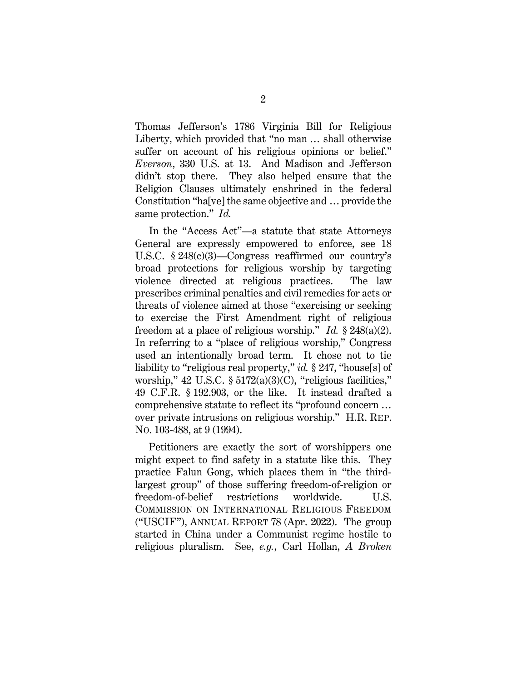Thomas Jefferson's 1786 Virginia Bill for Religious Liberty, which provided that "no man … shall otherwise suffer on account of his religious opinions or belief." *Everson*, 330 U.S. at 13. And Madison and Jefferson didn't stop there. They also helped ensure that the Religion Clauses ultimately enshrined in the federal Constitution "ha[ve] the same objective and … provide the same protection." *Id.*

In the "Access Act"—a statute that state Attorneys General are expressly empowered to enforce, see 18 U.S.C. § 248(c)(3)—Congress reaffirmed our country's broad protections for religious worship by targeting violence directed at religious practices. The law prescribes criminal penalties and civil remedies for acts or threats of violence aimed at those "exercising or seeking to exercise the First Amendment right of religious freedom at a place of religious worship." *Id.* § 248(a)(2). In referring to a "place of religious worship," Congress used an intentionally broad term. It chose not to tie liability to "religious real property," *id.* § 247, "house[s] of worship," 42 U.S.C. § 5172(a)(3)(C), "religious facilities," 49 C.F.R. § 192.903, or the like. It instead drafted a comprehensive statute to reflect its "profound concern … over private intrusions on religious worship." H.R. REP. NO. 103-488, at 9 (1994).

Petitioners are exactly the sort of worshippers one might expect to find safety in a statute like this. They practice Falun Gong, which places them in "the thirdlargest group" of those suffering freedom-of-religion or freedom-of-belief restrictions worldwide. U.S. COMMISSION ON INTERNATIONAL RELIGIOUS FREEDOM ("USCIF"), ANNUAL REPORT 78 (Apr. 2022). The group started in China under a Communist regime hostile to religious pluralism. See, *e.g.*, Carl Hollan, *A Broken*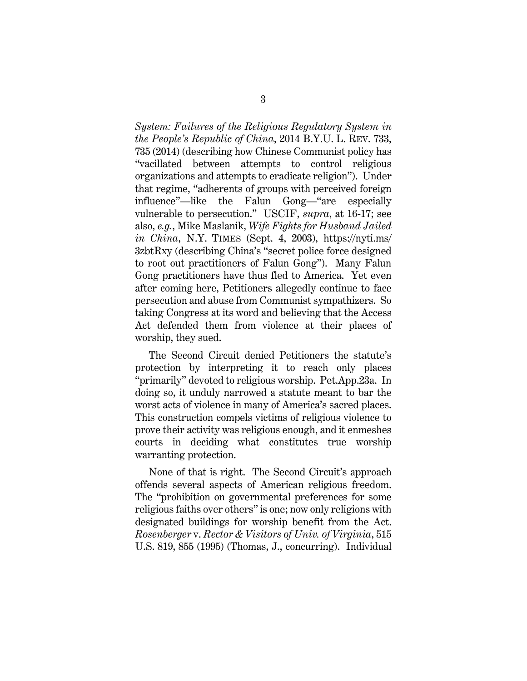*System: Failures of the Religious Regulatory System in the People's Republic of China*, 2014 B.Y.U. L. REV. 733, 735 (2014) (describing how Chinese Communist policy has "vacillated between attempts to control religious organizations and attempts to eradicate religion"). Under that regime, "adherents of groups with perceived foreign influence"—like the Falun Gong—"are especially vulnerable to persecution." USCIF, *supra*, at 16-17; see also, *e.g.*, Mike Maslanik, *Wife Fights for Husband Jailed in China*, N.Y. TIMES (Sept. 4, 2003), https://nyti.ms/ 3zbtRxy (describing China's "secret police force designed to root out practitioners of Falun Gong"). Many Falun Gong practitioners have thus fled to America. Yet even after coming here, Petitioners allegedly continue to face persecution and abuse from Communist sympathizers. So taking Congress at its word and believing that the Access Act defended them from violence at their places of worship, they sued.

The Second Circuit denied Petitioners the statute's protection by interpreting it to reach only places "primarily" devoted to religious worship. Pet.App.23a. In doing so, it unduly narrowed a statute meant to bar the worst acts of violence in many of America's sacred places. This construction compels victims of religious violence to prove their activity was religious enough, and it enmeshes courts in deciding what constitutes true worship warranting protection.

None of that is right. The Second Circuit's approach offends several aspects of American religious freedom. The "prohibition on governmental preferences for some religious faiths over others" is one; now only religions with designated buildings for worship benefit from the Act. *Rosenberger* v. *Rector & Visitors of Univ. of Virginia*, 515 U.S. 819, 855 (1995) (Thomas, J., concurring). Individual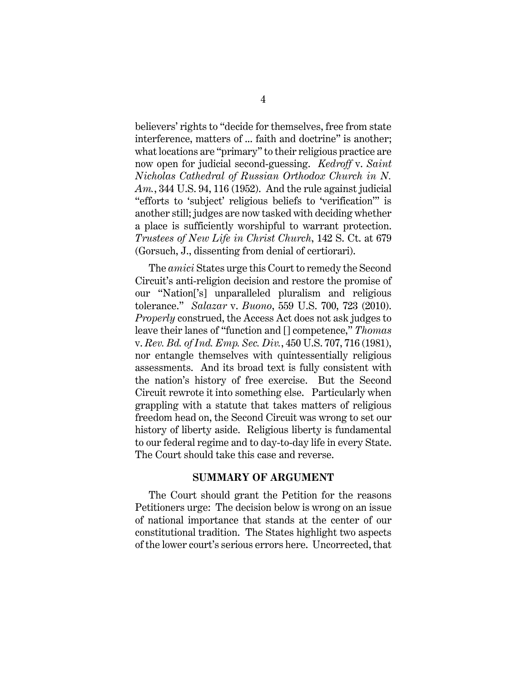believers' rights to "decide for themselves, free from state interference, matters of ... faith and doctrine" is another; what locations are "primary" to their religious practice are now open for judicial second-guessing. *Kedroff* v. *Saint Nicholas Cathedral of Russian Orthodox Church in N. Am.*, 344 U.S. 94, 116 (1952). And the rule against judicial "efforts to 'subject' religious beliefs to 'verification'" is another still; judges are now tasked with deciding whether a place is sufficiently worshipful to warrant protection. *Trustees of New Life in Christ Church*, 142 S. Ct. at 679 (Gorsuch, J., dissenting from denial of certiorari).

The *amici* States urge this Court to remedy the Second Circuit's anti-religion decision and restore the promise of our "Nation['s] unparalleled pluralism and religious tolerance." *Salazar* v. *Buono*, 559 U.S. 700, 723 (2010). *Properly* construed, the Access Act does not ask judges to leave their lanes of "function and [] competence," *Thomas* v. *Rev. Bd. of Ind. Emp. Sec. Div.*, 450 U.S. 707, 716 (1981), nor entangle themselves with quintessentially religious assessments. And its broad text is fully consistent with the nation's history of free exercise. But the Second Circuit rewrote it into something else. Particularly when grappling with a statute that takes matters of religious freedom head on, the Second Circuit was wrong to set our history of liberty aside. Religious liberty is fundamental to our federal regime and to day-to-day life in every State. The Court should take this case and reverse.

#### **SUMMARY OF ARGUMENT**

The Court should grant the Petition for the reasons Petitioners urge: The decision below is wrong on an issue of national importance that stands at the center of our constitutional tradition. The States highlight two aspects of the lower court's serious errors here. Uncorrected, that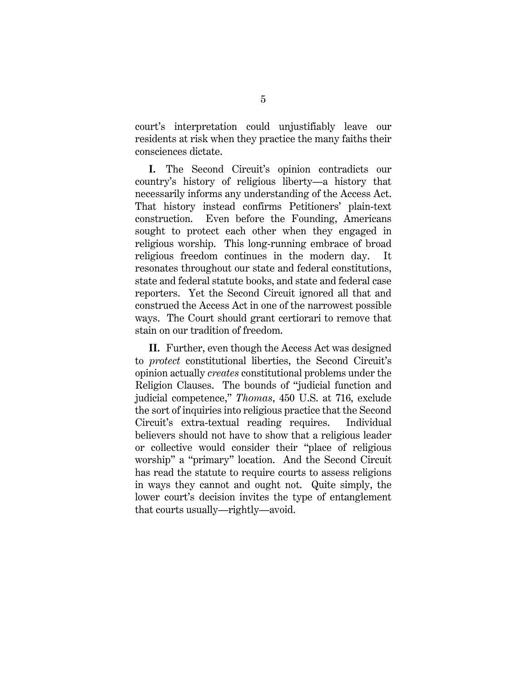court's interpretation could unjustifiably leave our residents at risk when they practice the many faiths their consciences dictate.

**I.** The Second Circuit's opinion contradicts our country's history of religious liberty—a history that necessarily informs any understanding of the Access Act. That history instead confirms Petitioners' plain-text construction. Even before the Founding, Americans sought to protect each other when they engaged in religious worship. This long-running embrace of broad religious freedom continues in the modern day. It resonates throughout our state and federal constitutions, state and federal statute books, and state and federal case reporters. Yet the Second Circuit ignored all that and construed the Access Act in one of the narrowest possible ways. The Court should grant certiorari to remove that stain on our tradition of freedom.

**II.** Further, even though the Access Act was designed to *protect* constitutional liberties, the Second Circuit's opinion actually *creates* constitutional problems under the Religion Clauses. The bounds of "judicial function and judicial competence," *Thomas*, 450 U.S. at 716, exclude the sort of inquiries into religious practice that the Second Circuit's extra-textual reading requires. Individual believers should not have to show that a religious leader or collective would consider their "place of religious worship" a "primary" location. And the Second Circuit has read the statute to require courts to assess religions in ways they cannot and ought not. Quite simply, the lower court's decision invites the type of entanglement that courts usually—rightly—avoid.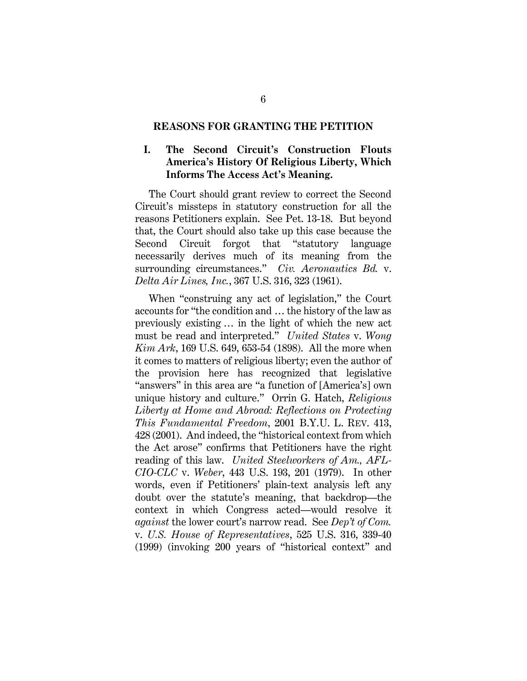#### **REASONS FOR GRANTING THE PETITION**

### **I. The Second Circuit's Construction Flouts America's History Of Religious Liberty, Which Informs The Access Act's Meaning.**

The Court should grant review to correct the Second Circuit's missteps in statutory construction for all the reasons Petitioners explain. See Pet. 13-18. But beyond that, the Court should also take up this case because the Second Circuit forgot that "statutory language necessarily derives much of its meaning from the surrounding circumstances." *Civ. Aeronautics Bd.* v. *Delta Air Lines, Inc.*, 367 U.S. 316, 323 (1961).

When "construing any act of legislation," the Court accounts for "the condition and … the history of the law as previously existing … in the light of which the new act must be read and interpreted." *United States* v. *Wong Kim Ark*, 169 U.S. 649, 653-54 (1898). All the more when it comes to matters of religious liberty; even the author of the provision here has recognized that legislative "answers" in this area are "a function of [America's] own unique history and culture." Orrin G. Hatch, *Religious Liberty at Home and Abroad: Reflections on Protecting This Fundamental Freedom*, 2001 B.Y.U. L. REV. 413, 428 (2001). And indeed, the "historical context from which the Act arose" confirms that Petitioners have the right reading of this law. *United Steelworkers of Am., AFL-CIO-CLC* v. *Weber*, 443 U.S. 193, 201 (1979). In other words, even if Petitioners' plain-text analysis left any doubt over the statute's meaning, that backdrop—the context in which Congress acted—would resolve it *against* the lower court's narrow read. See *Dep't of Com.*  v. *U.S. House of Representatives*, 525 U.S. 316, 339-40 (1999) (invoking 200 years of "historical context" and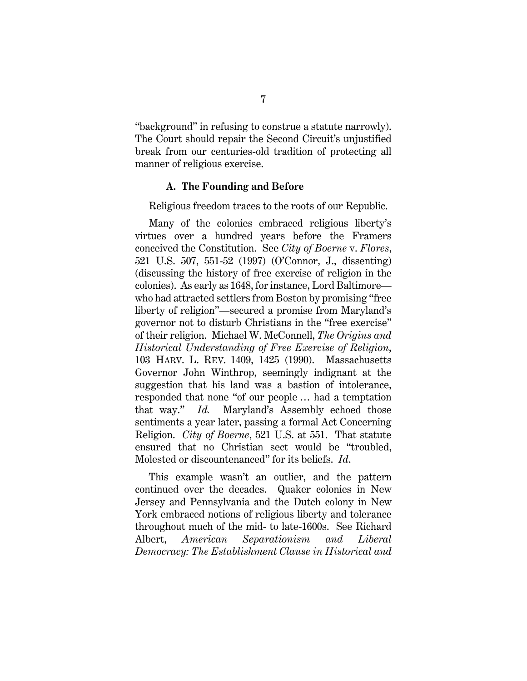"background" in refusing to construe a statute narrowly). The Court should repair the Second Circuit's unjustified break from our centuries-old tradition of protecting all manner of religious exercise.

#### **A. The Founding and Before**

Religious freedom traces to the roots of our Republic.

Many of the colonies embraced religious liberty's virtues over a hundred years before the Framers conceived the Constitution. See *City of Boerne* v. *Flores*, 521 U.S. 507, 551-52 (1997) (O'Connor, J., dissenting) (discussing the history of free exercise of religion in the colonies). As early as 1648, for instance, Lord Baltimore who had attracted settlers from Boston by promising "free liberty of religion"—secured a promise from Maryland's governor not to disturb Christians in the "free exercise" of their religion. Michael W. McConnell, *The Origins and Historical Understanding of Free Exercise of Religion*, 103 HARV. L. REV. 1409, 1425 (1990). Massachusetts Governor John Winthrop, seemingly indignant at the suggestion that his land was a bastion of intolerance, responded that none "of our people … had a temptation that way." *Id.* Maryland's Assembly echoed those sentiments a year later, passing a formal Act Concerning Religion. *City of Boerne*, 521 U.S. at 551. That statute ensured that no Christian sect would be "troubled, Molested or discountenanced" for its beliefs. *Id*.

This example wasn't an outlier, and the pattern continued over the decades. Quaker colonies in New Jersey and Pennsylvania and the Dutch colony in New York embraced notions of religious liberty and tolerance throughout much of the mid- to late-1600s. See Richard Albert, *American Separationism and Liberal Democracy: The Establishment Clause in Historical and*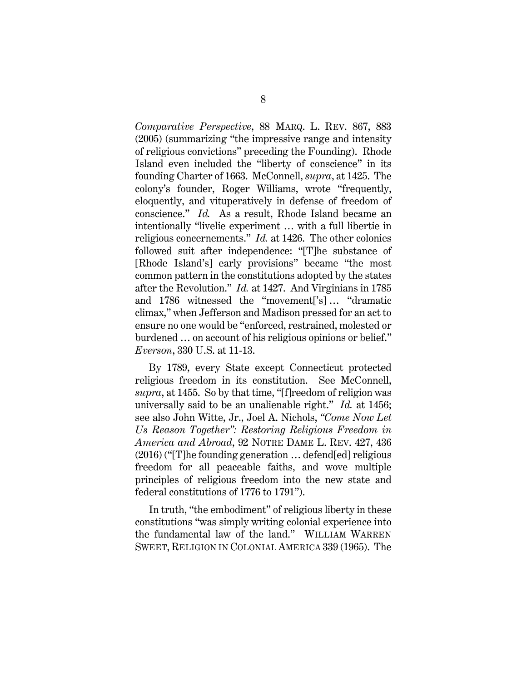*Comparative Perspective*, 88 MARQ. L. REV. 867, 883 (2005) (summarizing "the impressive range and intensity of religious convictions" preceding the Founding). Rhode Island even included the "liberty of conscience" in its founding Charter of 1663. McConnell, *supra*, at 1425. The colony's founder, Roger Williams, wrote "frequently, eloquently, and vituperatively in defense of freedom of conscience." *Id.* As a result, Rhode Island became an intentionally "livelie experiment … with a full libertie in religious concernements." *Id.* at 1426. The other colonies followed suit after independence: "[T]he substance of [Rhode Island's] early provisions" became "the most common pattern in the constitutions adopted by the states after the Revolution." *Id.* at 1427. And Virginians in 1785 and 1786 witnessed the "movement['s] … "dramatic climax," when Jefferson and Madison pressed for an act to ensure no one would be "enforced, restrained, molested or burdened … on account of his religious opinions or belief." *Everson*, 330 U.S. at 11-13.

By 1789, every State except Connecticut protected religious freedom in its constitution. See McConnell, *supra*, at 1455. So by that time, "[f]reedom of religion was universally said to be an unalienable right." *Id.* at 1456; see also John Witte, Jr., Joel A. Nichols, *"Come Now Let Us Reason Together": Restoring Religious Freedom in America and Abroad*, 92 NOTRE DAME L. REV. 427, 436 (2016) ("[T]he founding generation … defend[ed] religious freedom for all peaceable faiths, and wove multiple principles of religious freedom into the new state and federal constitutions of 1776 to 1791").

In truth, "the embodiment" of religious liberty in these constitutions "was simply writing colonial experience into the fundamental law of the land." WILLIAM WARREN SWEET, RELIGION IN COLONIAL AMERICA 339 (1965). The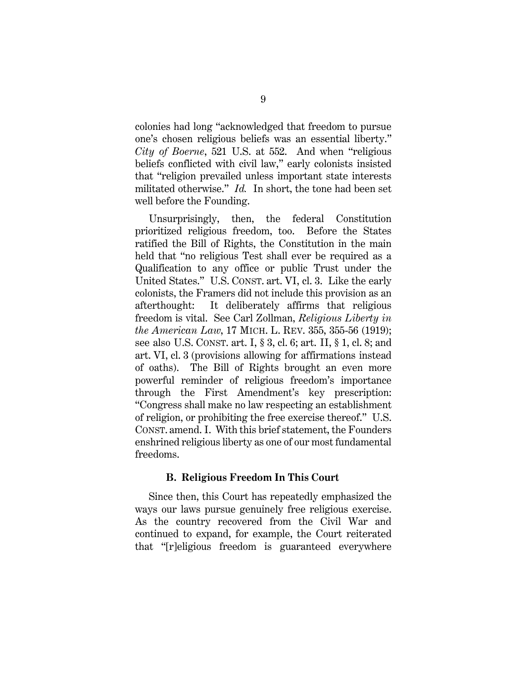colonies had long "acknowledged that freedom to pursue one's chosen religious beliefs was an essential liberty." *City of Boerne*, 521 U.S. at 552. And when "religious beliefs conflicted with civil law," early colonists insisted that "religion prevailed unless important state interests militated otherwise." *Id.* In short, the tone had been set well before the Founding.

Unsurprisingly, then, the federal Constitution prioritized religious freedom, too. Before the States ratified the Bill of Rights, the Constitution in the main held that "no religious Test shall ever be required as a Qualification to any office or public Trust under the United States." U.S. CONST. art. VI, cl. 3. Like the early colonists, the Framers did not include this provision as an afterthought: It deliberately affirms that religious freedom is vital. See Carl Zollman, *Religious Liberty in the American Law*, 17 MICH. L. REV. 355, 355-56 (1919); see also U.S. CONST. art. I, § 3, cl. 6; art. II, § 1, cl. 8; and art. VI, cl. 3 (provisions allowing for affirmations instead of oaths). The Bill of Rights brought an even more powerful reminder of religious freedom's importance through the First Amendment's key prescription: "Congress shall make no law respecting an establishment of religion, or prohibiting the free exercise thereof." U.S. CONST. amend. I. With this brief statement, the Founders enshrined religious liberty as one of our most fundamental freedoms.

#### **B. Religious Freedom In This Court**

Since then, this Court has repeatedly emphasized the ways our laws pursue genuinely free religious exercise. As the country recovered from the Civil War and continued to expand, for example, the Court reiterated that "[r]eligious freedom is guaranteed everywhere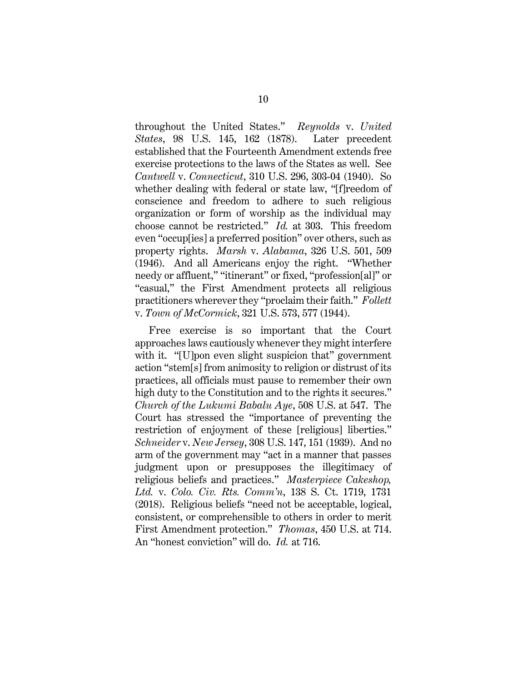throughout the United States." *Reynolds* v. *United States*, 98 U.S. 145, 162 (1878). Later precedent established that the Fourteenth Amendment extends free exercise protections to the laws of the States as well. See *Cantwell* v. *Connecticut*, 310 U.S. 296, 303-04 (1940). So whether dealing with federal or state law, "[f]reedom of conscience and freedom to adhere to such religious organization or form of worship as the individual may choose cannot be restricted." *Id.* at 303. This freedom even "occup[ies] a preferred position" over others, such as property rights. *Marsh* v. *Alabama*, 326 U.S. 501, 509 (1946). And all Americans enjoy the right. "Whether needy or affluent," "itinerant" or fixed, "profession[al]" or "casual," the First Amendment protects all religious practitioners wherever they "proclaim their faith." *Follett*  v. *Town of McCormick*, 321 U.S. 573, 577 (1944).

Free exercise is so important that the Court approaches laws cautiously whenever they might interfere with it. "[U]pon even slight suspicion that" government action "stem[s] from animosity to religion or distrust of its practices, all officials must pause to remember their own high duty to the Constitution and to the rights it secures." *Church of the Lukumi Babalu Aye*, 508 U.S. at 547. The Court has stressed the "importance of preventing the restriction of enjoyment of these [religious] liberties." *Schneider* v. *New Jersey*, 308 U.S. 147, 151 (1939). And no arm of the government may "act in a manner that passes judgment upon or presupposes the illegitimacy of religious beliefs and practices." *Masterpiece Cakeshop, Ltd.* v. *Colo. Civ. Rts. Comm'n*, 138 S. Ct. 1719, 1731 (2018). Religious beliefs "need not be acceptable, logical, consistent, or comprehensible to others in order to merit First Amendment protection." *Thomas*, 450 U.S. at 714. An "honest conviction" will do. *Id.* at 716.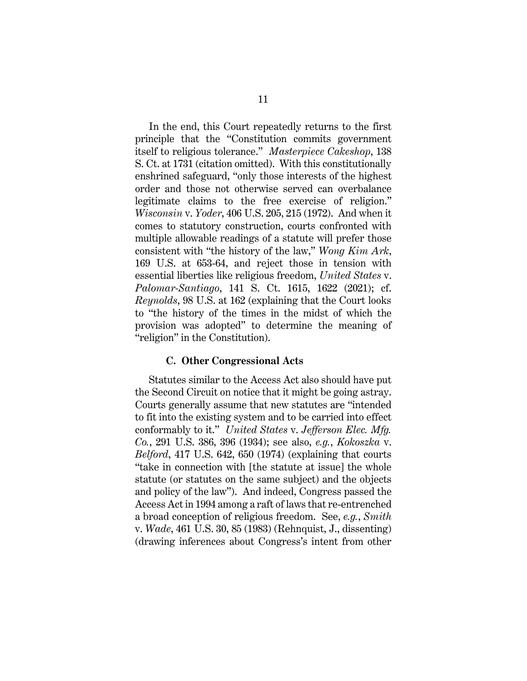In the end, this Court repeatedly returns to the first principle that the "Constitution commits government itself to religious tolerance." *Masterpiece Cakeshop*, 138 S. Ct. at 1731 (citation omitted). With this constitutionally enshrined safeguard, "only those interests of the highest order and those not otherwise served can overbalance legitimate claims to the free exercise of religion." *Wisconsin* v. *Yoder*, 406 U.S. 205, 215 (1972). And when it comes to statutory construction, courts confronted with multiple allowable readings of a statute will prefer those consistent with "the history of the law," *Wong Kim Ark*, 169 U.S. at 653-64, and reject those in tension with essential liberties like religious freedom, *United States* v. *Palomar-Santiago*, 141 S. Ct. 1615, 1622 (2021); cf. *Reynolds*, 98 U.S. at 162 (explaining that the Court looks to "the history of the times in the midst of which the provision was adopted" to determine the meaning of "religion" in the Constitution).

#### **C. Other Congressional Acts**

Statutes similar to the Access Act also should have put the Second Circuit on notice that it might be going astray. Courts generally assume that new statutes are "intended to fit into the existing system and to be carried into effect conformably to it." *United States* v. *Jefferson Elec. Mfg. Co.*, 291 U.S. 386, 396 (1934); see also, *e.g.*, *Kokoszka* v. *Belford*, 417 U.S. 642, 650 (1974) (explaining that courts "take in connection with [the statute at issue] the whole statute (or statutes on the same subject) and the objects and policy of the law"). And indeed, Congress passed the Access Act in 1994 among a raft of laws that re-entrenched a broad conception of religious freedom. See, *e.g.*, *Smith* v. *Wade*, 461 U.S. 30, 85 (1983) (Rehnquist, J., dissenting) (drawing inferences about Congress's intent from other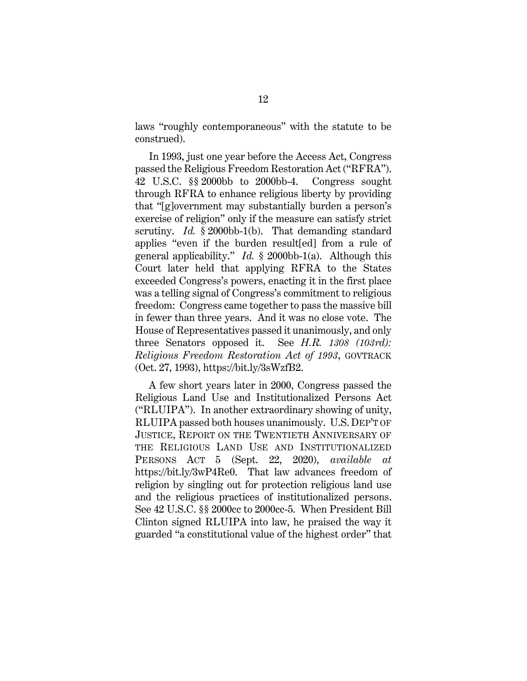laws "roughly contemporaneous" with the statute to be construed).

In 1993, just one year before the Access Act, Congress passed the Religious Freedom Restoration Act ("RFRA"). 42 U.S.C. §§ 2000bb to 2000bb-4. Congress sought through RFRA to enhance religious liberty by providing that "[g]overnment may substantially burden a person's exercise of religion" only if the measure can satisfy strict scrutiny. *Id.* § 2000bb-1(b). That demanding standard applies "even if the burden result[ed] from a rule of general applicability." *Id.* § 2000bb-1(a). Although this Court later held that applying RFRA to the States exceeded Congress's powers, enacting it in the first place was a telling signal of Congress's commitment to religious freedom: Congress came together to pass the massive bill in fewer than three years. And it was no close vote. The House of Representatives passed it unanimously, and only three Senators opposed it. See *H.R. 1308 (103rd): Religious Freedom Restoration Act of 1993*, GOVTRACK (Oct. 27, 1993), https://bit.ly/3sWzfB2.

A few short years later in 2000, Congress passed the Religious Land Use and Institutionalized Persons Act ("RLUIPA"). In another extraordinary showing of unity, RLUIPA passed both houses unanimously. U.S. DEP'T OF JUSTICE, REPORT ON THE TWENTIETH ANNIVERSARY OF THE RELIGIOUS LAND USE AND INSTITUTIONALIZED PERSONS ACT 5 (Sept. 22, 2020), *available at* https://bit.ly/3wP4Re0. That law advances freedom of religion by singling out for protection religious land use and the religious practices of institutionalized persons. See 42 U.S.C. §§ 2000cc to 2000cc-5. When President Bill Clinton signed RLUIPA into law, he praised the way it guarded "a constitutional value of the highest order" that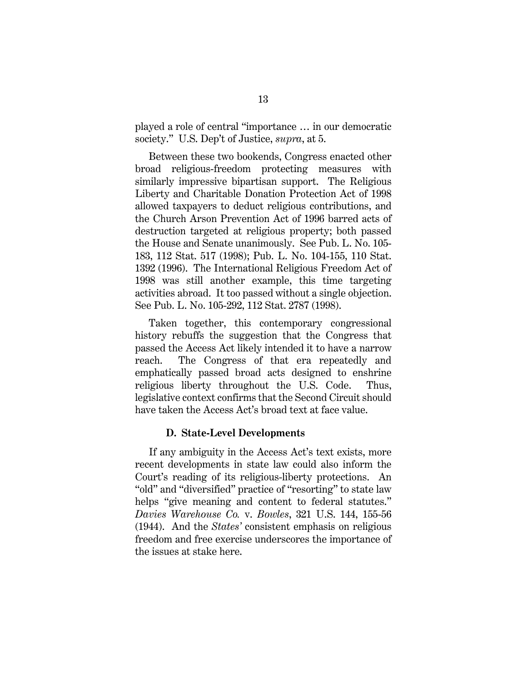played a role of central "importance … in our democratic society." U.S. Dep't of Justice, *supra*, at 5.

Between these two bookends, Congress enacted other broad religious-freedom protecting measures with similarly impressive bipartisan support. The Religious Liberty and Charitable Donation Protection Act of 1998 allowed taxpayers to deduct religious contributions, and the Church Arson Prevention Act of 1996 barred acts of destruction targeted at religious property; both passed the House and Senate unanimously. See Pub. L. No. 105- 183, 112 Stat. 517 (1998); Pub. L. No. 104-155, 110 Stat. 1392 (1996). The International Religious Freedom Act of 1998 was still another example, this time targeting activities abroad. It too passed without a single objection. See Pub. L. No. 105-292, 112 Stat. 2787 (1998).

Taken together, this contemporary congressional history rebuffs the suggestion that the Congress that passed the Access Act likely intended it to have a narrow reach. The Congress of that era repeatedly and emphatically passed broad acts designed to enshrine religious liberty throughout the U.S. Code. Thus, legislative context confirms that the Second Circuit should have taken the Access Act's broad text at face value.

#### **D. State-Level Developments**

If any ambiguity in the Access Act's text exists, more recent developments in state law could also inform the Court's reading of its religious-liberty protections. An "old" and "diversified" practice of "resorting" to state law helps "give meaning and content to federal statutes." *Davies Warehouse Co.* v. *Bowles*, 321 U.S. 144, 155-56 (1944). And the *States'* consistent emphasis on religious freedom and free exercise underscores the importance of the issues at stake here.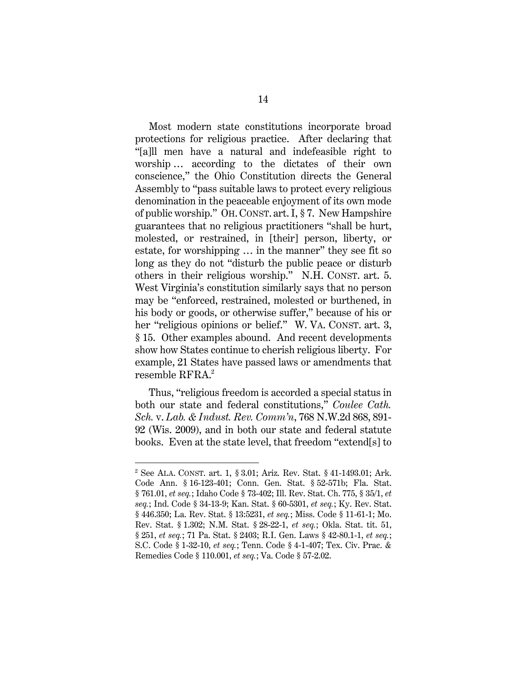Most modern state constitutions incorporate broad protections for religious practice. After declaring that "[a]ll men have a natural and indefeasible right to worship … according to the dictates of their own conscience," the Ohio Constitution directs the General Assembly to "pass suitable laws to protect every religious denomination in the peaceable enjoyment of its own mode of public worship." OH. CONST. art. I, § 7. New Hampshire guarantees that no religious practitioners "shall be hurt, molested, or restrained, in [their] person, liberty, or estate, for worshipping … in the manner" they see fit so long as they do not "disturb the public peace or disturb others in their religious worship." N.H. CONST. art. 5. West Virginia's constitution similarly says that no person may be "enforced, restrained, molested or burthened, in his body or goods, or otherwise suffer," because of his or her "religious opinions or belief." W. VA. CONST. art. 3, § 15. Other examples abound. And recent developments show how States continue to cherish religious liberty. For example, 21 States have passed laws or amendments that resemble RFRA.<sup>2</sup>

Thus, "religious freedom is accorded a special status in both our state and federal constitutions," *Coulee Cath. Sch.* v. *Lab. & Indust. Rev. Comm'n*, 768 N.W.2d 868, 891- 92 (Wis. 2009), and in both our state and federal statute books. Even at the state level, that freedom "extend[s] to

<sup>2</sup> See ALA. CONST. art. 1, § 3.01; Ariz. Rev. Stat. § 41-1493.01; Ark. Code Ann. § 16-123-401; Conn. Gen. Stat. § 52-571b; Fla. Stat. § 761.01, *et seq.*; Idaho Code § 73-402; Ill. Rev. Stat. Ch. 775, § 35/1, *et seq.*; Ind. Code § 34-13-9; Kan. Stat. § 60-5301, *et seq.*; Ky. Rev. Stat. § 446.350; La. Rev. Stat. § 13:5231, *et seq.*; Miss. Code § 11-61-1; Mo. Rev. Stat. § 1.302; N.M. Stat. § 28-22-1, *et seq.*; Okla. Stat. tit. 51, § 251, *et seq.*; 71 Pa. Stat. § 2403; R.I. Gen. Laws § 42-80.1-1, *et seq.*; S.C. Code § 1-32-10, *et seq.*; Tenn. Code § 4-1-407; Tex. Civ. Prac. & Remedies Code § 110.001, *et seq.*; Va. Code § 57-2.02.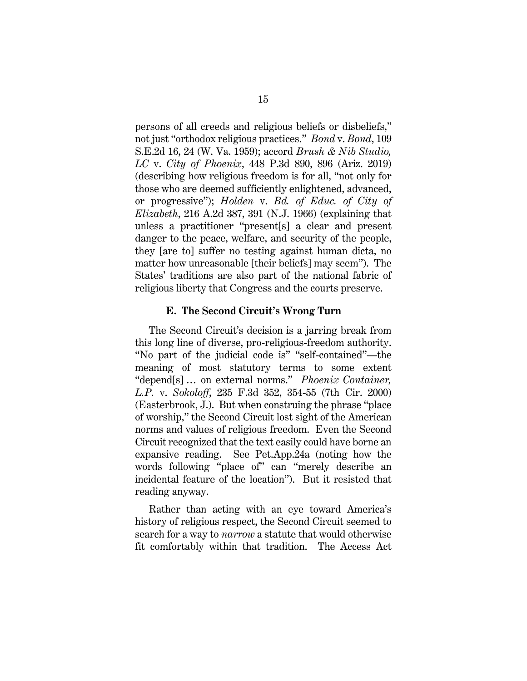persons of all creeds and religious beliefs or disbeliefs," not just "orthodox religious practices." *Bond* v. *Bond*, 109 S.E.2d 16, 24 (W. Va. 1959); accord *Brush & Nib Studio, LC* v. *City of Phoenix*, 448 P.3d 890, 896 (Ariz. 2019) (describing how religious freedom is for all, "not only for those who are deemed sufficiently enlightened, advanced, or progressive"); *Holden* v. *Bd. of Educ. of City of Elizabeth*, 216 A.2d 387, 391 (N.J. 1966) (explaining that unless a practitioner "present[s] a clear and present danger to the peace, welfare, and security of the people, they [are to] suffer no testing against human dicta, no matter how unreasonable [their beliefs] may seem"). The States' traditions are also part of the national fabric of religious liberty that Congress and the courts preserve.

#### **E. The Second Circuit's Wrong Turn**

The Second Circuit's decision is a jarring break from this long line of diverse, pro-religious-freedom authority. "No part of the judicial code is" "self-contained"—the meaning of most statutory terms to some extent "depend[s] … on external norms." *Phoenix Container, L.P.* v. *Sokoloff*, 235 F.3d 352, 354-55 (7th Cir. 2000) (Easterbrook, J.). But when construing the phrase "place of worship," the Second Circuit lost sight of the American norms and values of religious freedom. Even the Second Circuit recognized that the text easily could have borne an expansive reading. See Pet.App.24a (noting how the words following "place of" can "merely describe an incidental feature of the location"). But it resisted that reading anyway.

Rather than acting with an eye toward America's history of religious respect, the Second Circuit seemed to search for a way to *narrow* a statute that would otherwise fit comfortably within that tradition. The Access Act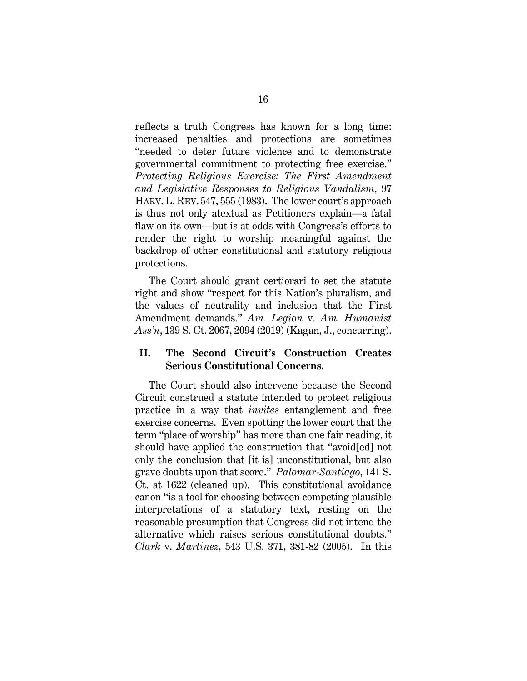reflects a truth Congress has known for a long time: increased penalties and protections are sometimes "needed to deter future violence and to demonstrate governmental commitment to protecting free exercise." *Protecting Religious Exercise: The First Amendment and Legislative Responses to Religious Vandalism*, 97 HARV. L. REV. 547, 555 (1983). The lower court's approach is thus not only atextual as Petitioners explain—a fatal flaw on its own—but is at odds with Congress's efforts to render the right to worship meaningful against the backdrop of other constitutional and statutory religious protections.

The Court should grant certiorari to set the statute right and show "respect for this Nation's pluralism, and the values of neutrality and inclusion that the First Amendment demands." *Am. Legion* v. *Am. Humanist Ass'n*, 139 S. Ct. 2067, 2094 (2019) (Kagan, J., concurring).

#### **II. The Second Circuit's Construction Creates Serious Constitutional Concerns.**

The Court should also intervene because the Second Circuit construed a statute intended to protect religious practice in a way that *invites* entanglement and free exercise concerns. Even spotting the lower court that the term "place of worship" has more than one fair reading, it should have applied the construction that "avoid[ed] not only the conclusion that [it is] unconstitutional, but also grave doubts upon that score." *Palomar-Santiago*, 141 S. Ct. at 1622 (cleaned up). This constitutional avoidance canon "is a tool for choosing between competing plausible interpretations of a statutory text, resting on the reasonable presumption that Congress did not intend the alternative which raises serious constitutional doubts." *Clark* v. *Martinez*, 543 U.S. 371, 381-82 (2005). In this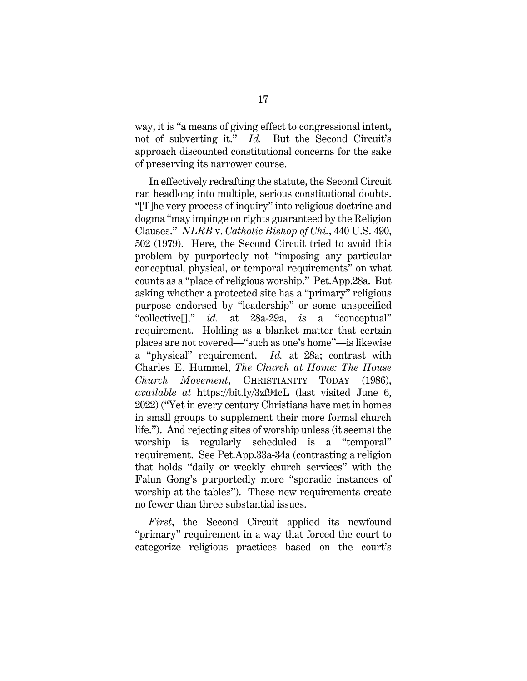way, it is "a means of giving effect to congressional intent, not of subverting it." *Id.* But the Second Circuit's approach discounted constitutional concerns for the sake of preserving its narrower course.

In effectively redrafting the statute, the Second Circuit ran headlong into multiple, serious constitutional doubts. "[T]he very process of inquiry" into religious doctrine and dogma "may impinge on rights guaranteed by the Religion Clauses." *NLRB* v. *Catholic Bishop of Chi.*, 440 U.S. 490, 502 (1979). Here, the Second Circuit tried to avoid this problem by purportedly not "imposing any particular conceptual, physical, or temporal requirements" on what counts as a "place of religious worship." Pet.App.28a. But asking whether a protected site has a "primary" religious purpose endorsed by "leadership" or some unspecified "collective[]," *id.* at 28a-29a, *is* a "conceptual" requirement. Holding as a blanket matter that certain places are not covered—"such as one's home"—is likewise a "physical" requirement. *Id.* at 28a; contrast with Charles E. Hummel, *The Church at Home: The House Church Movement*, CHRISTIANITY TODAY (1986), *available at* https://bit.ly/3zf94cL (last visited June 6, 2022) ("Yet in every century Christians have met in homes in small groups to supplement their more formal church life."). And rejecting sites of worship unless (it seems) the worship is regularly scheduled is a "temporal" requirement. See Pet.App.33a-34a (contrasting a religion that holds "daily or weekly church services" with the Falun Gong's purportedly more "sporadic instances of worship at the tables"). These new requirements create no fewer than three substantial issues.

*First*, the Second Circuit applied its newfound "primary" requirement in a way that forced the court to categorize religious practices based on the court's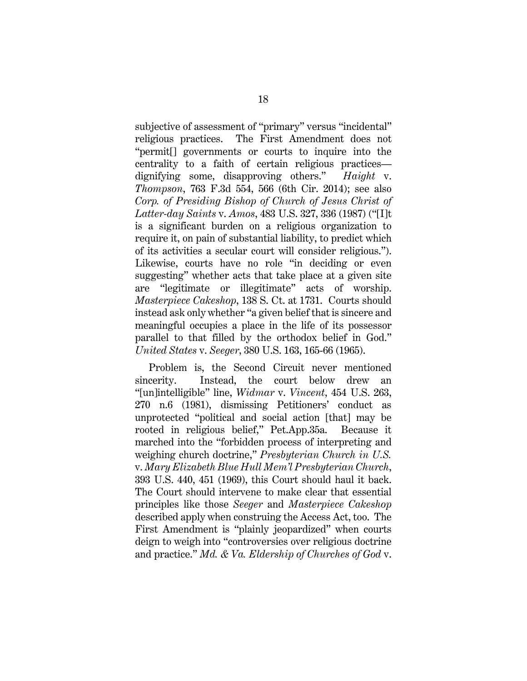subjective of assessment of "primary" versus "incidental" religious practices. The First Amendment does not "permit[] governments or courts to inquire into the centrality to a faith of certain religious practices dignifying some, disapproving others." *Haight* v. *Thompson*, 763 F.3d 554, 566 (6th Cir. 2014); see also *Corp. of Presiding Bishop of Church of Jesus Christ of Latter-day Saints* v. *Amos*, 483 U.S. 327, 336 (1987) ("[I]t is a significant burden on a religious organization to require it, on pain of substantial liability, to predict which of its activities a secular court will consider religious."). Likewise, courts have no role "in deciding or even suggesting" whether acts that take place at a given site are "legitimate or illegitimate" acts of worship. *Masterpiece Cakeshop*, 138 S. Ct. at 1731. Courts should instead ask only whether "a given belief that is sincere and meaningful occupies a place in the life of its possessor parallel to that filled by the orthodox belief in God." *United States* v. *Seeger*, 380 U.S. 163, 165-66 (1965).

Problem is, the Second Circuit never mentioned sincerity. Instead, the court below drew an "[un]intelligible" line, *Widmar* v. *Vincent*, 454 U.S. 263, 270 n.6 (1981), dismissing Petitioners' conduct as unprotected "political and social action [that] may be rooted in religious belief," Pet.App.35a. Because it marched into the "forbidden process of interpreting and weighing church doctrine," *Presbyterian Church in U.S.* v. *Mary Elizabeth Blue Hull Mem'l Presbyterian Church*, 393 U.S. 440, 451 (1969), this Court should haul it back. The Court should intervene to make clear that essential principles like those *Seeger* and *Masterpiece Cakeshop* described apply when construing the Access Act, too. The First Amendment is "plainly jeopardized" when courts deign to weigh into "controversies over religious doctrine and practice." *Md. & Va. Eldership of Churches of God* v.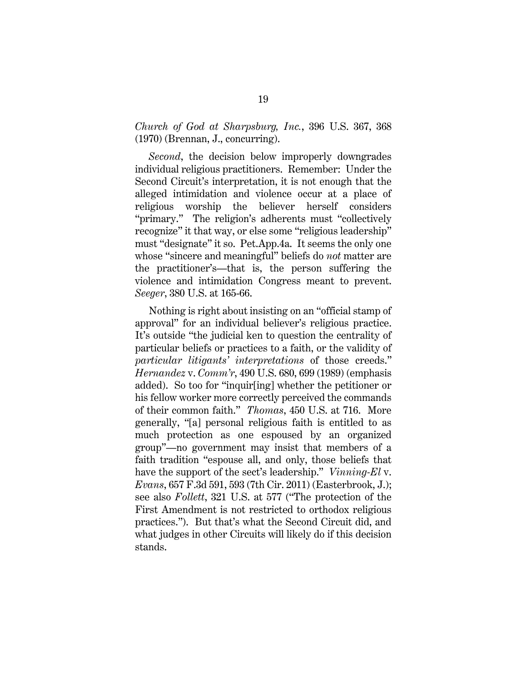#### *Church of God at Sharpsburg, Inc.*, 396 U.S. 367, 368 (1970) (Brennan, J., concurring).

*Second*, the decision below improperly downgrades individual religious practitioners. Remember: Under the Second Circuit's interpretation, it is not enough that the alleged intimidation and violence occur at a place of religious worship the believer herself considers "primary." The religion's adherents must "collectively recognize" it that way, or else some "religious leadership" must "designate" it so. Pet.App.4a. It seems the only one whose "sincere and meaningful" beliefs do *not* matter are the practitioner's—that is, the person suffering the violence and intimidation Congress meant to prevent. *Seeger*, 380 U.S. at 165-66.

Nothing is right about insisting on an "official stamp of approval" for an individual believer's religious practice. It's outside "the judicial ken to question the centrality of particular beliefs or practices to a faith, or the validity of *particular litigants' interpretations* of those creeds." *Hernandez* v. *Comm'r*, 490 U.S. 680, 699 (1989) (emphasis added). So too for "inquir[ing] whether the petitioner or his fellow worker more correctly perceived the commands of their common faith." *Thomas*, 450 U.S. at 716. More generally, "[a] personal religious faith is entitled to as much protection as one espoused by an organized group"—no government may insist that members of a faith tradition "espouse all, and only, those beliefs that have the support of the sect's leadership." *Vinning-El* v. *Evans*, 657 F.3d 591, 593 (7th Cir. 2011) (Easterbrook, J.); see also *Follett*, 321 U.S. at 577 ("The protection of the First Amendment is not restricted to orthodox religious practices."). But that's what the Second Circuit did, and what judges in other Circuits will likely do if this decision stands.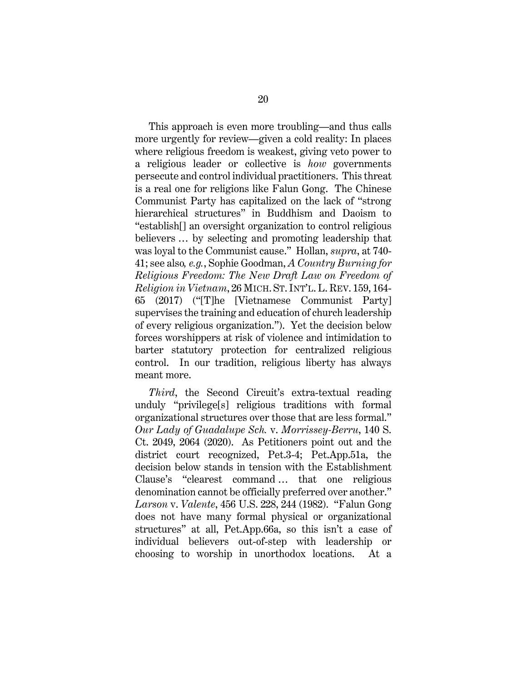This approach is even more troubling—and thus calls more urgently for review—given a cold reality: In places where religious freedom is weakest, giving veto power to a religious leader or collective is *how* governments persecute and control individual practitioners. This threat is a real one for religions like Falun Gong. The Chinese Communist Party has capitalized on the lack of "strong hierarchical structures" in Buddhism and Daoism to "establish[] an oversight organization to control religious believers … by selecting and promoting leadership that was loyal to the Communist cause." Hollan, *supra*, at 740- 41; see also*, e.g.*, Sophie Goodman, *A Country Burning for Religious Freedom: The New Draft Law on Freedom of Religion in Vietnam*, 26 MICH. ST. INT'L. L. REV. 159, 164- 65 (2017) ("[T]he [Vietnamese Communist Party] supervises the training and education of church leadership of every religious organization."). Yet the decision below forces worshippers at risk of violence and intimidation to barter statutory protection for centralized religious control. In our tradition, religious liberty has always meant more.

*Third*, the Second Circuit's extra-textual reading unduly "privilege[s] religious traditions with formal organizational structures over those that are less formal." *Our Lady of Guadalupe Sch.* v. *Morrissey-Berru*, 140 S. Ct. 2049, 2064 (2020). As Petitioners point out and the district court recognized, Pet.3-4; Pet.App.51a, the decision below stands in tension with the Establishment Clause's "clearest command … that one religious denomination cannot be officially preferred over another." *Larson* v. *Valente*, 456 U.S. 228, 244 (1982). "Falun Gong does not have many formal physical or organizational structures" at all, Pet.App.66a, so this isn't a case of individual believers out-of-step with leadership or choosing to worship in unorthodox locations. At a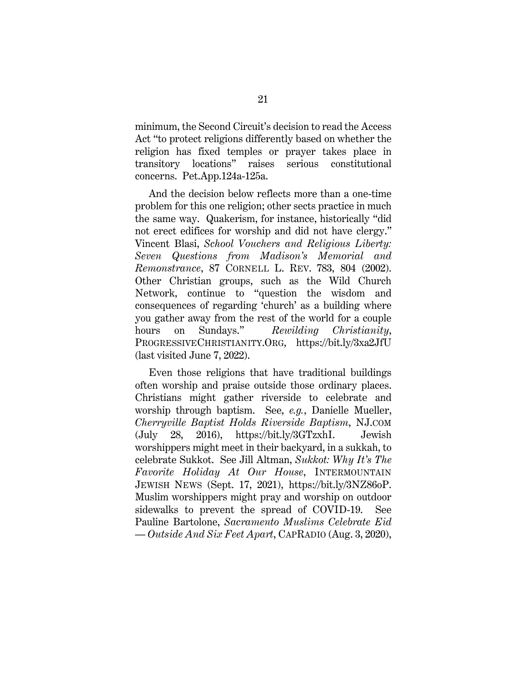minimum, the Second Circuit's decision to read the Access Act "to protect religions differently based on whether the religion has fixed temples or prayer takes place in transitory locations" raises serious constitutional concerns. Pet.App.124a-125a.

And the decision below reflects more than a one-time problem for this one religion; other sects practice in much the same way. Quakerism, for instance, historically "did not erect edifices for worship and did not have clergy." Vincent Blasi, *School Vouchers and Religious Liberty: Seven Questions from Madison's Memorial and Remonstrance*, 87 CORNELL L. REV. 783, 804 (2002). Other Christian groups, such as the Wild Church Network, continue to "question the wisdom and consequences of regarding 'church' as a building where you gather away from the rest of the world for a couple hours on Sundays." *Rewilding Christianity*, PROGRESSIVECHRISTIANITY.ORG, https://bit.ly/3xa2JfU (last visited June 7, 2022).

Even those religions that have traditional buildings often worship and praise outside those ordinary places. Christians might gather riverside to celebrate and worship through baptism. See, *e.g.*, Danielle Mueller, *Cherryville Baptist Holds Riverside Baptism*, NJ.COM (July 28, 2016), https://bit.ly/3GTzxhI. Jewish worshippers might meet in their backyard, in a sukkah, to celebrate Sukkot. See Jill Altman, *Sukkot: Why It's The Favorite Holiday At Our House*, INTERMOUNTAIN JEWISH NEWS (Sept. 17, 2021), https://bit.ly/3NZ86oP. Muslim worshippers might pray and worship on outdoor sidewalks to prevent the spread of COVID-19. See Pauline Bartolone, *Sacramento Muslims Celebrate Eid — Outside And Six Feet Apart*, CAPRADIO (Aug. 3, 2020),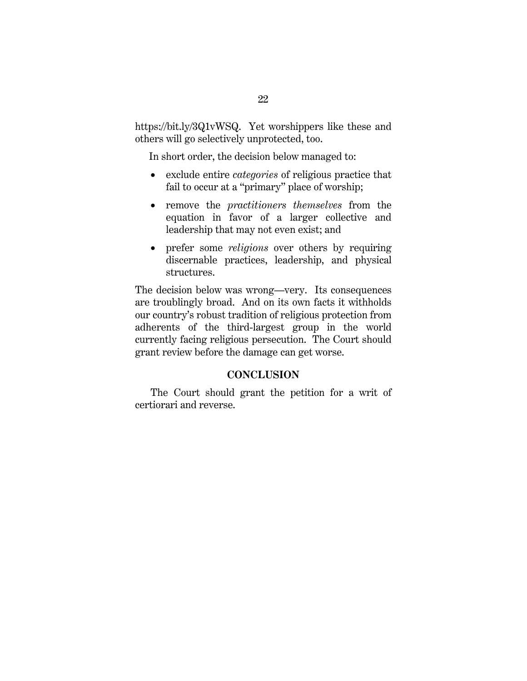https://bit.ly/3Q1vWSQ. Yet worshippers like these and others will go selectively unprotected, too.

In short order, the decision below managed to:

- exclude entire *categories* of religious practice that fail to occur at a "primary" place of worship;
- remove the *practitioners themselves* from the equation in favor of a larger collective and leadership that may not even exist; and
- prefer some *religions* over others by requiring discernable practices, leadership, and physical structures.

The decision below was wrong—very. Its consequences are troublingly broad. And on its own facts it withholds our country's robust tradition of religious protection from adherents of the third-largest group in the world currently facing religious persecution. The Court should grant review before the damage can get worse.

#### **CONCLUSION**

The Court should grant the petition for a writ of certiorari and reverse.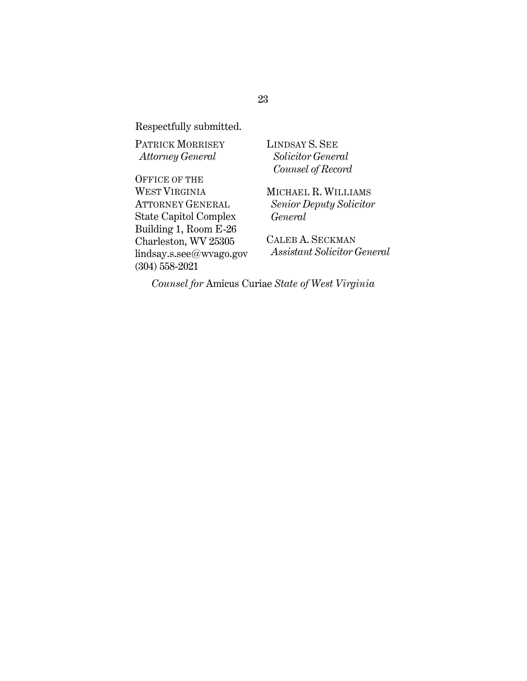Respectfully submitted.

PATRICK MORRISEY *Attorney General* 

OFFICE OF THE WEST VIRGINIA ATTORNEY GENERAL State Capitol Complex Building 1, Room E-26 Charleston, WV 25305 lindsay.s.see@wvago.gov (304) 558-2021

LINDSAY S. SEE  *Solicitor General Counsel of Record*

MICHAEL R. WILLIAMS  *Senior Deputy Solicitor General*

CALEB A. SECKMAN  *Assistant Solicitor General* 

*Counsel for* Amicus Curiae *State of West Virginia*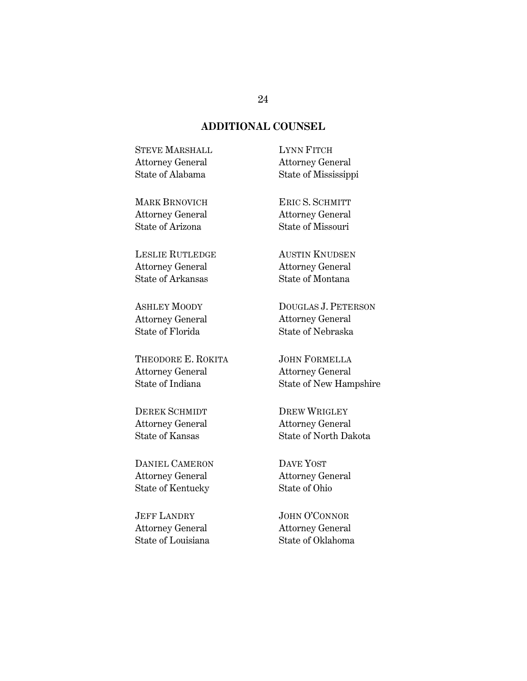#### **ADDITIONAL COUNSEL**

STEVE MARSHALL Attorney General State of Alabama

LYNN FITCH Attorney General State of Mississippi

MARK BRNOVICH Attorney General State of Arizona

LESLIE RUTLEDGE Attorney General State of Arkansas

ASHLEY MOODY Attorney General State of Florida

THEODORE E. ROKITA Attorney General State of Indiana

DEREK SCHMIDT Attorney General State of Kansas

DANIEL CAMERON Attorney General State of Kentucky

**JEFF LANDRY** Attorney General State of Louisiana

ERIC S. SCHMITT Attorney General State of Missouri

AUSTIN KNUDSEN Attorney General State of Montana

DOUGLAS J. PETERSON Attorney General State of Nebraska

JOHN FORMELLA Attorney General State of New Hampshire

DREW WRIGLEY Attorney General State of North Dakota

DAVE YOST Attorney General State of Ohio

JOHN O'CONNOR Attorney General State of Oklahoma

#### 24